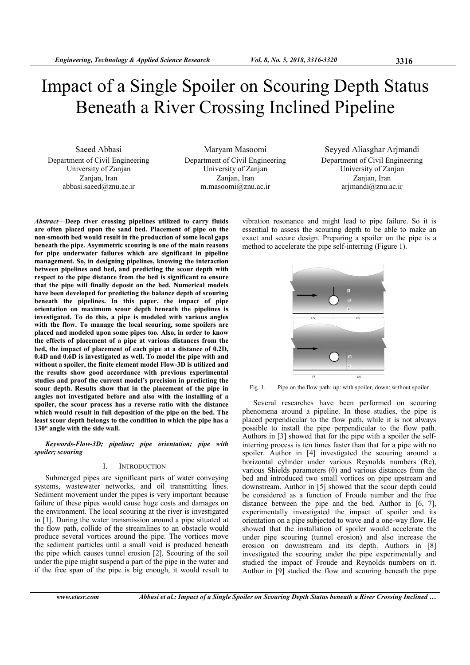# Impact of a Single Spoiler on Scouring Depth Status Beneath a River Crossing Inclined Pipeline

Saeed Abbasi Department of Civil Engineering University of Zanjan Zanjan, Iran abbasi.saeed@znu.ac.ir

Maryam Masoomi Department of Civil Engineering University of Zanjan Zanjan, Iran m.masoomi@znu.ac.ir

Seyyed Aliasghar Arjmandi Department of Civil Engineering University of Zanjan Zanjan, Iran arjmandi@znu.ac.ir

Abstract—Deep river crossing pipelines utilized to carry fluids are often placed upon the sand bed. Placement of pipe on the non-smooth bed would result in the production of some local gaps beneath the pipe. Asymmetric scouring is one of the main reasons for pipe underwater failures which are significant in pipeline management. So, in designing pipelines, knowing the interaction between pipelines and bed, and predicting the scour depth with respect to the pipe distance from the bed is significant to ensure that the pipe will finally deposit on the bed. Numerical models have been developed for predicting the balance depth of scouring beneath the pipelines. In this paper, the impact of pipe orientation on maximum scour depth beneath the pipelines is investigated. To do this, a pipe is modeled with various angles with the flow. To manage the local scouring, some spoilers are placed and modeled upon some pipes too. Also, in order to know the effects of placement of a pipe at various distances from the bed, the impact of placement of each pipe at a distance of 0.2D, 0.4D and 0.6D is investigated as well. To model the pipe with and without a spoiler, the finite element model Flow-3D is utilized and the results show good accordance with previous experimental studies and proof the current model's precision in predicting the scour depth. Results show that in the placement of the pipe in angles not investigated before and also with the installing of a spoiler, the scour process has a reverse ratio with the distance which would result in full deposition of the pipe on the bed. The least scour depth belongs to the condition in which the pipe has a 130° angle with the side wall.

Keywords-Flow-3D; pipeline; pipe orientation; pipe with spoiler; scouring

## I. INTRODUCTION

Submerged pipes are significant parts of water conveying systems, wastewater networks, and oil transmitting lines. Sediment movement under the pipes is very important because failure of these pipes would cause huge costs and damages on the environment. The local scouring at the river is investigated in [1]. During the water transmission around a pipe situated at the flow path, collide of the streamlines to an obstacle would produce several vortices around the pipe. The vortices move the sediment particles until a small void is produced beneath the pipe which causes tunnel erosion [2]. Scouring of the soil under the pipe might suspend a part of the pipe in the water and if the free span of the pipe is big enough, it would result to

vibration resonance and might lead to pipe failure. So it is essential to assess the scouring depth to be able to make an exact and secure design. Preparing a spoiler on the pipe is a method to accelerate the pipe self-interring (Figure 1).



Fig. 1. Pipe on the flow path: up: with spoiler, down: without spoiler

Several researches have been performed on scouring phenomena around a pipeline. In these studies, the pipe is placed perpendicular to the flow path, while it is not always possible to install the pipe perpendicular to the flow path. Authors in [3] showed that for the pipe with a spoiler the selfinterring process is ten times faster than that for a pipe with no spoiler. Author in [4] investigated the scouring around a horizontal cylinder under various Reynolds numbers (Re), various Shields parameters (θ) and various distances from the bed and introduced two small vortices on pipe upstream and downstream. Author in [5] showed that the scour depth could be considered as a function of Froude number and the free distance between the pipe and the bed. Author in [6, 7], experimentally investigated the impact of spoiler and its orientation on a pipe subjected to wave and a one-way flow. He showed that the installation of spoiler would accelerate the under pipe scouring (tunnel erosion) and also increase the erosion on downstream and its depth. Authors in [8] investigated the scouring under the pipe experimentally and studied the impact of Froude and Reynolds numbers on it. Author in [9] studied the flow and scouring beneath the pipe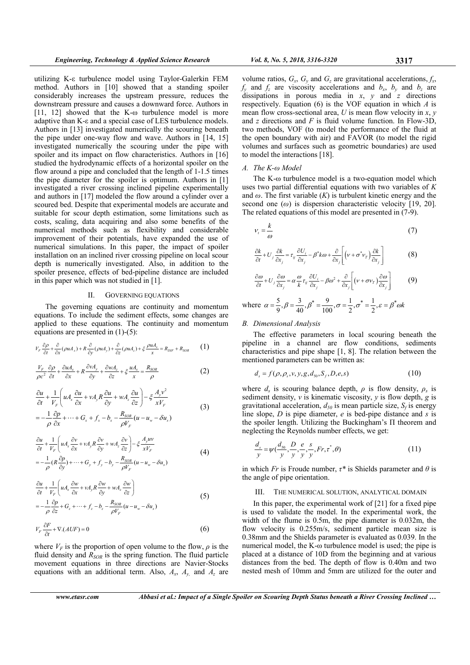utilizing K-ε turbulence model using Taylor-Galerkin FEM method. Authors in [10] showed that a standing spoiler considerably increases the upstream pressure, reduces the downstream pressure and causes a downward force. Authors in [11, 12] showed that the K-ω turbulence model is more adaptive than K-ε and a special case of LES turbulence models. Authors in [13] investigated numerically the scouring beneath the pipe under one-way flow and wave. Authors in [14, 15] investigated numerically the scouring under the pipe with spoiler and its impact on flow characteristics. Authors in [16] studied the hydrodynamic effects of a horizontal spoiler on the flow around a pipe and concluded that the length of 1-1.5 times the pipe diameter for the spoiler is optimum. Authors in [1] investigated a river crossing inclined pipeline experimentally and authors in [17] modeled the flow around a cylinder over a scoured bed. Despite that experimental models are accurate and suitable for scour depth estimation, some limitations such as costs, scaling, data acquiring and also some benefits of the numerical methods such as flexibility and considerable improvement of their potentials, have expanded the use of numerical simulations. In this paper, the impact of spoiler installation on an inclined river crossing pipeline on local scour depth is numerically investigated. Also, in addition to the spoiler presence, effects of bed-pipeline distance are included in this paper which was not studied in [1].

#### II. GOVERNING EQUATIONS

The governing equations are continuity and momentum equations. To include the sediment effects, some changes are applied to these equations. The continuity and momentum equations are presented in (1)-(5):

$$
V_F \frac{\partial \rho}{\partial t} + \frac{\partial}{\partial x} (\rho u A_x) + R \frac{\partial}{\partial y} (\rho u A_y) + \frac{\partial}{\partial z} (\rho u A_z) + \xi \frac{\rho u A_x}{x} = R_{DIF} + R_{SOR}
$$
 (1)

$$
\frac{V_F}{\rho c^2} \frac{\partial \rho}{\partial t} + \frac{\partial u A_x}{\partial x} + R \frac{\partial v A_y}{\partial y} + \frac{\partial w A_z}{\partial z} + \xi \frac{u A_x}{x} = \frac{R_{SOR}}{\rho}
$$
(2)

$$
\frac{\partial u}{\partial t} + \frac{1}{V_F} \left( u A_x \frac{\partial u}{\partial x} + v A_y R \frac{\partial u}{\partial y} + w A_z \frac{\partial u}{\partial z} \right) - \xi \frac{A_y v^2}{x V_F}
$$
\n
$$
= -\frac{1}{\rho} \frac{\partial p}{\partial x} + \dots + G_x + f_x - b_x - \frac{R_{\text{SOR}}}{\rho V_F} (u - u_w - \delta u_s)
$$
\n(3)

$$
\frac{\partial u}{\partial t} + \frac{1}{V_F} \left( u A_x \frac{\partial v}{\partial x} + v A_y R \frac{\partial v}{\partial y} + w A_z \frac{\partial v}{\partial z} \right) - \xi \frac{A_y u v}{x V_F}
$$
\n
$$
= -\frac{1}{\rho} (R \frac{\partial p}{\partial y}) + \dots + G_y + f_y - b_y - \frac{R_{SOR}}{\rho V_F} (u - u_w - \delta u_s)
$$
\n(4)

$$
\frac{\partial u}{\partial t} + \frac{1}{V_F} \left( u A_x \frac{\partial w}{\partial x} + v A_y R \frac{\partial w}{\partial y} + w A_z \frac{\partial w}{\partial z} \right)
$$
  
= 
$$
-\frac{1}{\rho} \frac{\partial p}{\partial z} + G_z + \dots + f_z - b_z - \frac{R_{SOR}}{\rho V_F} (u - u_w - \delta u_s)
$$
 (5)

$$
V_F \frac{\partial F}{\partial t} + \nabla \cdot (AUF) = 0 \tag{6}
$$

where  $V_F$  is the proportion of open volume to the flow,  $\rho$  is the fluid density and  $R_{SOR}$  is the spring function. The fluid particle movement equations in three directions are Navier-Stocks equations with an additional term. Also,  $A_x$ ,  $A_y$ , and  $A_z$  are

volume ratios,  $G_x$ ,  $G_y$  and  $G_z$  are gravitational accelerations,  $f_x$ ,  $f_y$  and  $f_z$  are viscosity accelerations and  $b_x$ ,  $b_y$  and  $b_z$  are dissipations in porous media in  $x$ ,  $y$  and  $z$  directions respectively. Equation (6) is the VOF equation in which  $A$  is mean flow cross-sectional area,  $U$  is mean flow velocity in  $x, y$ and z directions and  $F$  is fluid volume function. In Flow-3D, two methods, VOF (to model the performance of the fluid at the open boundary with air) and FAVOR (to model the rigid volumes and surfaces such as geometric boundaries) are used to model the interactions [18].

## A. The K-ω Model

The K-ω turbulence model is a two-equation model which uses two partial differential equations with two variables of  $K$ and  $\omega$ . The first variable  $(K)$  is turbulent kinetic energy and the second one  $(\omega)$  is dispersion characteristic velocity [19, 20]. The related equations of this model are presented in (7-9).

$$
v_t = \frac{k}{\omega} \tag{7}
$$

$$
\frac{\partial k}{\partial t} + U_j \frac{\partial k}{\partial x_j} = \tau_{ij} \frac{\partial U_i}{\partial x_j} - \beta^* k \omega + \frac{\partial}{\partial x_j} \left[ \left( v + \sigma^* v_T \right) \frac{\partial k}{\partial x_j} \right] \tag{8}
$$

$$
\frac{\partial \omega}{\partial t} + U_j \frac{\partial \omega}{\partial x_j} = \alpha \frac{\omega}{k} \tau_{ij} \frac{\partial U_i}{\partial x_j} - \beta \omega^2 + \frac{\partial}{\partial x_j} \left[ (\nu + \sigma v_T) \frac{\partial \omega}{\partial x_j} \right] \tag{9}
$$

where  $\alpha = \frac{5}{9}, \beta = \frac{3}{40}, \beta^* = \frac{9}{100}, \sigma = \frac{1}{2}, \sigma^* = \frac{1}{2}, \varepsilon = \beta^* \omega k$ 

# B. Dimensional Analysis

The effective parameters in local scouring beneath the pipeline in a channel are flow conditions, sediments characteristics and pipe shape [1, 8]. The relation between the mentioned parameters can be written as:

$$
d_s = f(\rho, \rho_s, v, y, g, d_{s_0}, S_f, D, e, s)
$$
 (10)

where  $d_s$  is scouring balance depth,  $\rho$  is flow density,  $\rho_s$  is sediment density,  $v$  is kinematic viscosity,  $y$  is flow depth,  $g$  is gravitational acceleration,  $d_{50}$  is mean particle size,  $S_f$  is energy line slope,  $D$  is pipe diameter,  $e$  is bed-pipe distance and  $s$  is the spoiler length. Utilizing the Buckingham's Π theorem and neglecting the Reynolds number effects, we get:

$$
\frac{d_s}{y} = \psi\left(\frac{d_{s0}}{y}, \frac{D}{y}, \frac{e}{y}, \frac{s}{y}, Fr, \tau^*, \theta\right)
$$
\n(11)

in which Fr is Froude number,  $\tau^*$  is Shields parameter and  $\theta$  is the angle of pipe orientation.

### III. THE NUMERICAL SOLUTION, ANALYTICAL DOMAIN

In this paper, the experimental work of  $[21]$  for a fixed pipe is used to validate the model. In the experimental work, the width of the flume is 0.5m, the pipe diameter is 0.032m, the flow velocity is 0.255m/s, sediment particle mean size is 0.38mm and the Shields parameter is evaluated as 0.039. In the numerical model, the K-ω turbulence model is used; the pipe is placed at a distance of 10D from the beginning and at various distances from the bed. The depth of flow is 0.40m and two nested mesh of 10mm and 5mm are utilized for the outer and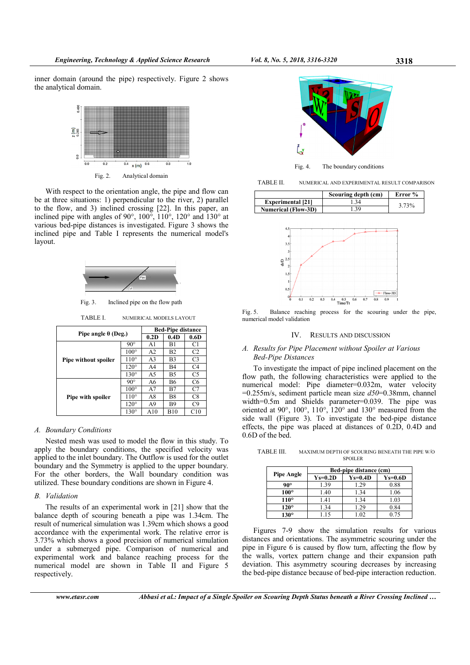inner domain (around the pipe) respectively. Figure 2 shows the analytical domain.



Fig. 2. Analytical domain

With respect to the orientation angle, the pipe and flow can be at three situations: 1) perpendicular to the river, 2) parallel to the flow, and 3) inclined crossing [22]. In this paper, an inclined pipe with angles of 90°, 100°, 110°, 120° and 130° at various bed-pipe distances is investigated. Figure 3 shows the inclined pipe and Table I represents the numerical model's layout.



Fig. 3. Inclined pipe on the flow path

TABLE I. NUMERICAL MODELS LAYOUT

| Pipe angle $\theta$ (Deg.) |               | <b>Bed-Pipe distance</b> |      |                |
|----------------------------|---------------|--------------------------|------|----------------|
|                            |               | 0.2D                     | 0.4D | 0.6D           |
| Pipe without spoiler       | $90^{\circ}$  | A1                       | B1   | C1             |
|                            | $100^{\circ}$ | A2                       | B2   | C <sub>2</sub> |
|                            | $110^{\circ}$ | A3                       | B3   | C3             |
|                            | $120^{\circ}$ | A4                       | B4   | C4             |
|                            | $130^\circ$   | A5                       | B5   | C5             |
| Pipe with spoiler          | $90^{\circ}$  | A6                       | B6   | C6             |
|                            | $100^{\circ}$ | A7                       | B7   | C7             |
|                            | $110^{\circ}$ | A8                       | B8   | C8             |
|                            | $120^\circ$   | A9                       | B9   | C9             |
|                            | $130^\circ$   | A10                      | B10  | C10            |

## A. Boundary Conditions

Nested mesh was used to model the flow in this study. To apply the boundary conditions, the specified velocity was applied to the inlet boundary. The Outflow is used for the outlet boundary and the Symmetry is applied to the upper boundary. For the other borders, the Wall boundary condition was utilized. These boundary conditions are shown in Figure 4.

# B. Validation

The results of an experimental work in [21] show that the balance depth of scouring beneath a pipe was 1.34cm. The result of numerical simulation was 1.39cm which shows a good accordance with the experimental work. The relative error is 3.73% which shows a good precision of numerical simulation under a submerged pipe. Comparison of numerical and experimental work and balance reaching process for the numerical model are shown in Table II and Figure 5 respectively.



Fig. 4. The boundary conditions

TABLE II. NUMERICAL AND EXPERIMENTAL RESULT COMPARISON

|                            | Scouring depth (cm) | Error % |
|----------------------------|---------------------|---------|
| <b>Experimental</b> [21]   |                     | 3.73%   |
| <b>Numerical (Flow-3D)</b> | 39                  |         |



Fig. 5. Balance reaching process for the scouring under the pipe, numerical model validation

## IV. RESULTS AND DISCUSSION

## A. Results for Pipe Placement without Spoiler at Various Bed-Pipe Distances

To investigate the impact of pipe inclined placement on the flow path, the following characteristics were applied to the numerical model: Pipe diameter=0.032m, water velocity  $=0.255$ m/s, sediment particle mean size  $d50=0.38$ mm, channel width=0.5m and Shields parameter=0.039. The pipe was oriented at 90°, 100°, 110°, 120° and 130° measured from the side wall (Figure 3). To investigate the bed-pipe distance effects, the pipe was placed at distances of 0.2D, 0.4D and 0.6D of the bed.

TABLE III. MAXIMUM DEPTH OF SCOURING BENEATH THE PIPE W/O SPOILER

|                   | Bed-pipe distance (cm) |           |           |  |
|-------------------|------------------------|-----------|-----------|--|
| <b>Pipe Angle</b> | $Ys=0.2D$              | $Ys=0.4D$ | $Ys=0.6D$ |  |
| $90^{\circ}$      | 1.39                   | 1.29      | 0.88      |  |
| $100^{\circ}$     | 1.40                   | 1.34      | 1.06      |  |
| $110^{\circ}$     | 1.41                   | 1.34      | 1.03      |  |
| $120^\circ$       | 1.34                   | 1.29      | 0.84      |  |
| $130^\circ$       | 1.15                   | 1.02      | 0.75      |  |

Figures 7-9 show the simulation results for various distances and orientations. The asymmetric scouring under the pipe in Figure 6 is caused by flow turn, affecting the flow by the walls, vortex pattern change and their expansion path deviation. This asymmetry scouring decreases by increasing the bed-pipe distance because of bed-pipe interaction reduction.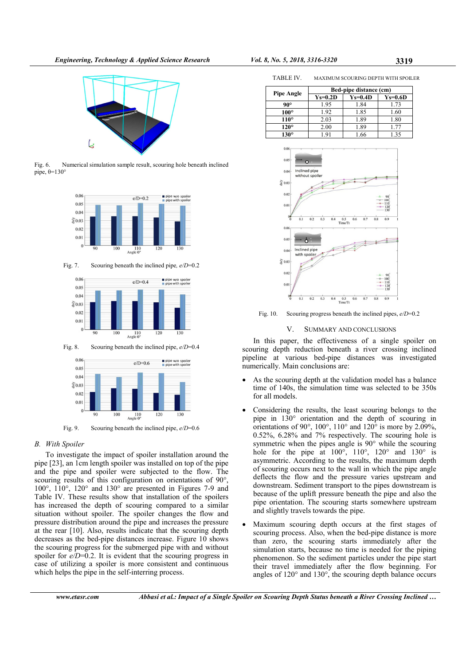

Fig. 6. Numerical simulation sample result, scouring hole beneath inclined pipe,  $θ=130°$ 



Fig. 7. Scouring beneath the inclined pipe,  $e/D=0.2$ 



Fig. 8. Scouring beneath the inclined pipe,  $e/D=0.4$ 



Fig. 9. Scouring beneath the inclined pipe,  $e/D=0.6$ 

# B. With Spoiler

To investigate the impact of spoiler installation around the pipe [23], an 1cm length spoiler was installed on top of the pipe and the pipe and spoiler were subjected to the flow. The scouring results of this configuration on orientations of 90°, 100°, 110°, 120° and 130° are presented in Figures 7-9 and Table IV. These results show that installation of the spoilers has increased the depth of scouring compared to a similar situation without spoiler. The spoiler changes the flow and pressure distribution around the pipe and increases the pressure at the rear [10]. Also, results indicate that the scouring depth decreases as the bed-pipe distances increase. Figure 10 shows the scouring progress for the submerged pipe with and without spoiler for  $e/D=0.2$ . It is evident that the scouring progress in case of utilizing a spoiler is more consistent and continuous which helps the pipe in the self-interring process.

| <b>Pipe Angle</b> | Bed-pipe distance (cm) |           |           |  |
|-------------------|------------------------|-----------|-----------|--|
|                   | $Ys=0.2D$              | $Ys=0.4D$ | $Ys=0.6D$ |  |
| $90^{\circ}$      | 1.95                   | 1.84      | 1.73      |  |
| $100^{\circ}$     | 1.92                   | 1.85      | 1.60      |  |
| $110^{\circ}$     | 2.03                   | 1.89      | 1.80      |  |
| $120^\circ$       | 2.00                   | 1.89      | 1.77      |  |
| $130^\circ$       | .91                    | 1.66      | 1.35      |  |



Fig. 10. Scouring progress beneath the inclined pipes, e/D=0.2

### V. SUMMARY AND CONCLUSIONS

In this paper, the effectiveness of a single spoiler on scouring depth reduction beneath a river crossing inclined pipeline at various bed-pipe distances was investigated numerically. Main conclusions are:

- As the scouring depth at the validation model has a balance time of 140s, the simulation time was selected to be 350s for all models.
- Considering the results, the least scouring belongs to the pipe in 130° orientation and the depth of scouring in orientations of 90 $^{\circ}$ , 100 $^{\circ}$ , 110 $^{\circ}$  and 120 $^{\circ}$  is more by 2.09%, 0.52%, 6.28% and 7% respectively. The scouring hole is symmetric when the pipes angle is 90° while the scouring hole for the pipe at  $100^{\circ}$ ,  $110^{\circ}$ ,  $120^{\circ}$  and  $130^{\circ}$  is asymmetric. According to the results, the maximum depth of scouring occurs next to the wall in which the pipe angle deflects the flow and the pressure varies upstream and downstream. Sediment transport to the pipes downstream is because of the uplift pressure beneath the pipe and also the pipe orientation. The scouring starts somewhere upstream and slightly travels towards the pipe.
- Maximum scouring depth occurs at the first stages of scouring process. Also, when the bed-pipe distance is more than zero, the scouring starts immediately after the simulation starts, because no time is needed for the piping phenomenon. So the sediment particles under the pipe start their travel immediately after the flow beginning. For angles of 120° and 130°, the scouring depth balance occurs